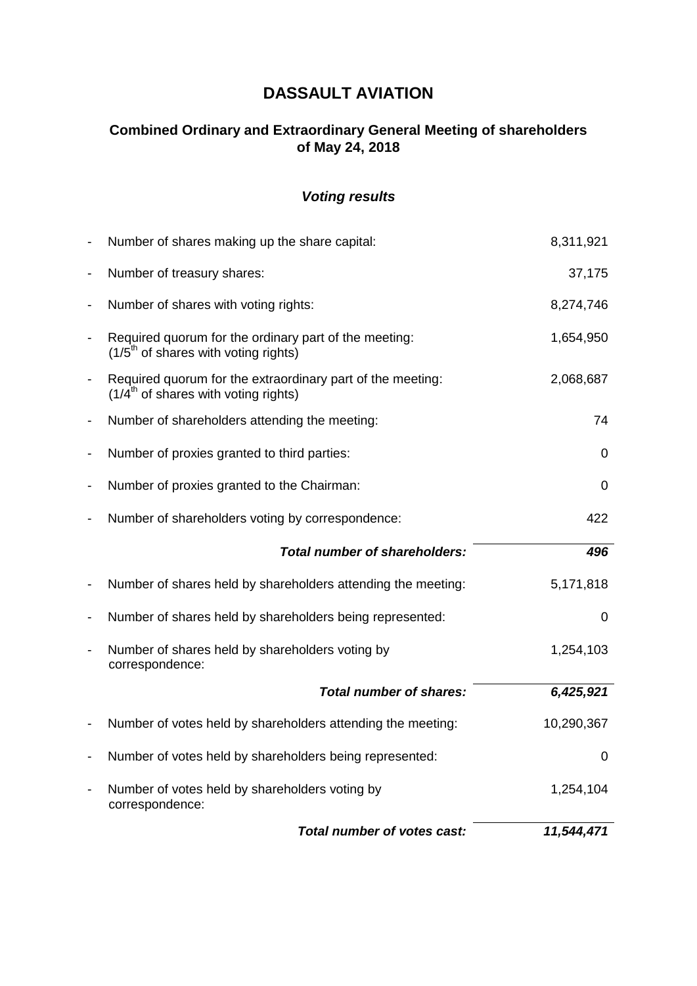# **DASSAULT AVIATION**

# **Combined Ordinary and Extraordinary General Meeting of shareholders of May 24, 2018**

# *Voting results*

| $\overline{\phantom{0}}$ | Number of votes held by shareholders voting by<br>correspondence:                                    | 1,254,104   |
|--------------------------|------------------------------------------------------------------------------------------------------|-------------|
| -                        | Number of votes held by shareholders being represented:                                              | $\mathbf 0$ |
| -                        | Number of votes held by shareholders attending the meeting:                                          | 10,290,367  |
|                          | <b>Total number of shares:</b>                                                                       | 6,425,921   |
| $\overline{\phantom{0}}$ | Number of shares held by shareholders voting by<br>correspondence:                                   | 1,254,103   |
| $\overline{\phantom{0}}$ | Number of shares held by shareholders being represented:                                             | $\mathbf 0$ |
| -                        | Number of shares held by shareholders attending the meeting:                                         | 5,171,818   |
|                          | <b>Total number of shareholders:</b>                                                                 | 496         |
| $\overline{\phantom{0}}$ | Number of shareholders voting by correspondence:                                                     | 422         |
| -                        | Number of proxies granted to the Chairman:                                                           | $\mathbf 0$ |
| -                        | Number of proxies granted to third parties:                                                          | $\mathbf 0$ |
| -                        | Number of shareholders attending the meeting:                                                        | 74          |
| $\overline{\phantom{0}}$ | Required quorum for the extraordinary part of the meeting:<br>$(1/4th$ of shares with voting rights) | 2,068,687   |
| $\overline{\phantom{0}}$ | Required quorum for the ordinary part of the meeting:<br>$(1/5th$ of shares with voting rights)      | 1,654,950   |
| -                        | Number of shares with voting rights:                                                                 | 8,274,746   |
| $\overline{\phantom{0}}$ | Number of treasury shares:                                                                           | 37,175      |
|                          | Number of shares making up the share capital:                                                        | 8,311,921   |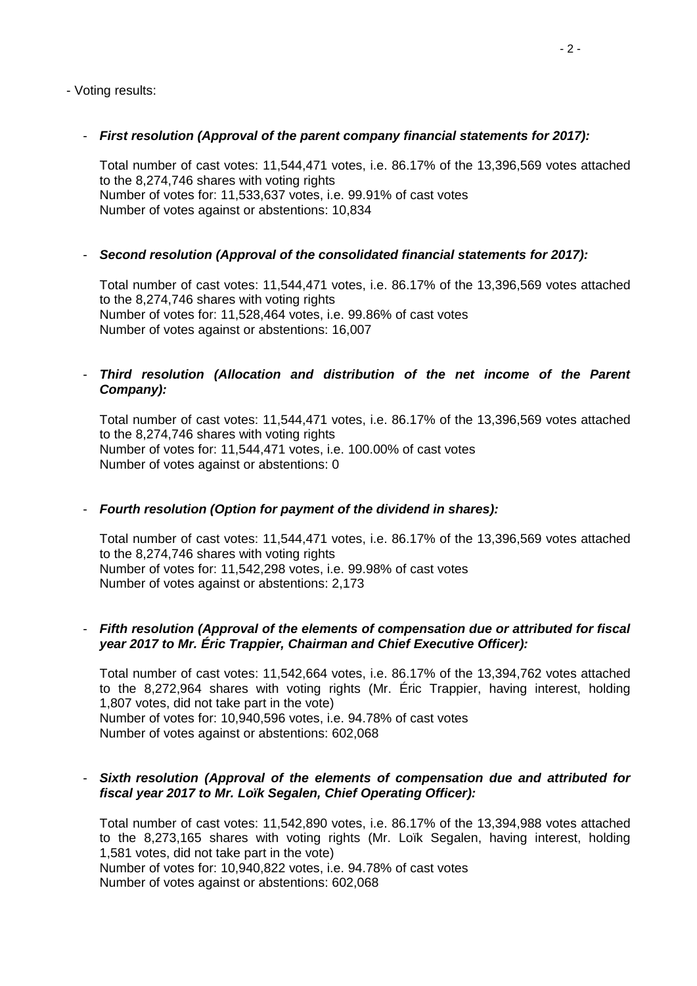- Voting results:

# - *First resolution (Approval of the parent company financial statements for 2017):*

Total number of cast votes: 11,544,471 votes, i.e. 86.17% of the 13,396,569 votes attached to the 8,274,746 shares with voting rights Number of votes for: 11,533,637 votes, i.e. 99.91% of cast votes Number of votes against or abstentions: 10,834

# - *Second resolution (Approval of the consolidated financial statements for 2017):*

Total number of cast votes: 11,544,471 votes, i.e. 86.17% of the 13,396,569 votes attached to the 8,274,746 shares with voting rights Number of votes for: 11,528,464 votes, i.e. 99.86% of cast votes Number of votes against or abstentions: 16,007

# - *Third resolution (Allocation and distribution of the net income of the Parent Company):*

Total number of cast votes: 11,544,471 votes, i.e. 86.17% of the 13,396,569 votes attached to the 8,274,746 shares with voting rights Number of votes for: 11,544,471 votes, i.e. 100.00% of cast votes Number of votes against or abstentions: 0

# - *Fourth resolution (Option for payment of the dividend in shares):*

Total number of cast votes: 11,544,471 votes, i.e. 86.17% of the 13,396,569 votes attached to the 8,274,746 shares with voting rights Number of votes for: 11,542,298 votes, i.e. 99.98% of cast votes Number of votes against or abstentions: 2,173

# - *Fifth resolution (Approval of the elements of compensation due or attributed for fiscal year 2017 to Mr. Éric Trappier, Chairman and Chief Executive Officer):*

Total number of cast votes: 11,542,664 votes, i.e. 86.17% of the 13,394,762 votes attached to the 8,272,964 shares with voting rights (Mr. Éric Trappier, having interest, holding 1,807 votes, did not take part in the vote) Number of votes for: 10,940,596 votes, i.e. 94.78% of cast votes Number of votes against or abstentions: 602,068

# - *Sixth resolution (Approval of the elements of compensation due and attributed for fiscal year 2017 to Mr. Loïk Segalen, Chief Operating Officer):*

Total number of cast votes: 11,542,890 votes, i.e. 86.17% of the 13,394,988 votes attached to the 8,273,165 shares with voting rights (Mr. Loïk Segalen, having interest, holding 1,581 votes, did not take part in the vote) Number of votes for: 10,940,822 votes, i.e. 94.78% of cast votes Number of votes against or abstentions: 602,068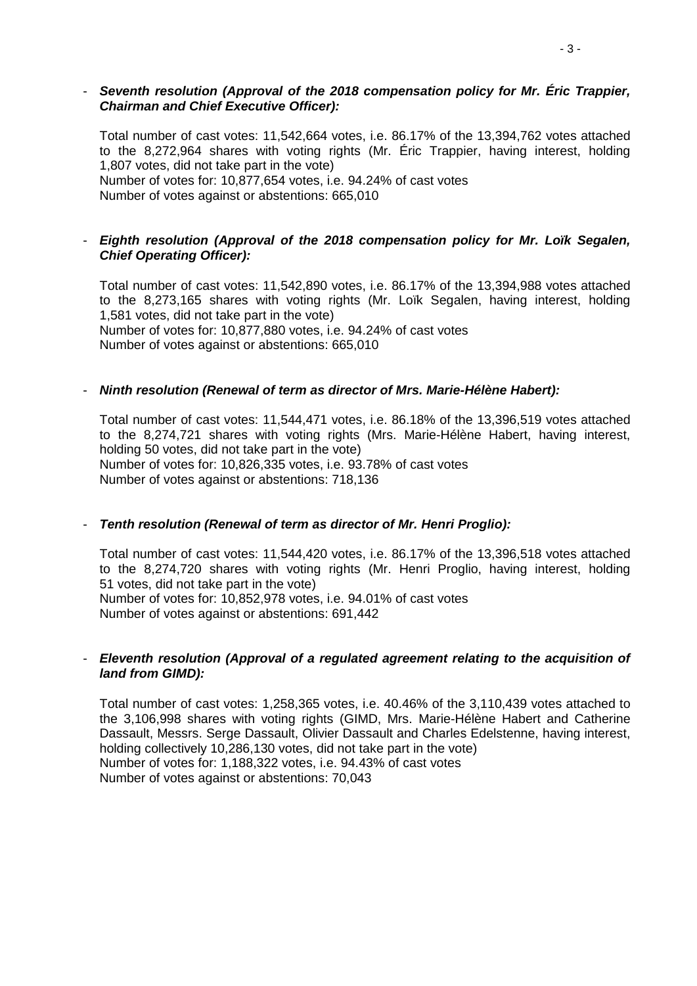#### - *Seventh resolution (Approval of the 2018 compensation policy for Mr. Éric Trappier, Chairman and Chief Executive Officer):*

Total number of cast votes: 11,542,664 votes, i.e. 86.17% of the 13,394,762 votes attached to the 8,272,964 shares with voting rights (Mr. Éric Trappier, having interest, holding 1,807 votes, did not take part in the vote) Number of votes for: 10,877,654 votes, i.e. 94.24% of cast votes

Number of votes against or abstentions: 665,010

# - *Eighth resolution (Approval of the 2018 compensation policy for Mr. Loïk Segalen, Chief Operating Officer):*

Total number of cast votes: 11,542,890 votes, i.e. 86.17% of the 13,394,988 votes attached to the 8,273,165 shares with voting rights (Mr. Loïk Segalen, having interest, holding 1,581 votes, did not take part in the vote) Number of votes for: 10,877,880 votes, i.e. 94.24% of cast votes Number of votes against or abstentions: 665,010

# - *Ninth resolution (Renewal of term as director of Mrs. Marie-Hélène Habert):*

Total number of cast votes: 11,544,471 votes, i.e. 86.18% of the 13,396,519 votes attached to the 8,274,721 shares with voting rights (Mrs. Marie-Hélène Habert, having interest, holding 50 votes, did not take part in the vote) Number of votes for: 10,826,335 votes, i.e. 93.78% of cast votes Number of votes against or abstentions: 718,136

# - *Tenth resolution (Renewal of term as director of Mr. Henri Proglio):*

Total number of cast votes: 11,544,420 votes, i.e. 86.17% of the 13,396,518 votes attached to the 8,274,720 shares with voting rights (Mr. Henri Proglio, having interest, holding 51 votes, did not take part in the vote) Number of votes for: 10,852,978 votes, i.e. 94.01% of cast votes Number of votes against or abstentions: 691,442

# - *Eleventh resolution (Approval of a regulated agreement relating to the acquisition of land from GIMD):*

Total number of cast votes: 1,258,365 votes, i.e. 40.46% of the 3,110,439 votes attached to the 3,106,998 shares with voting rights (GIMD, Mrs. Marie-Hélène Habert and Catherine Dassault, Messrs. Serge Dassault, Olivier Dassault and Charles Edelstenne, having interest, holding collectively 10,286,130 votes, did not take part in the vote) Number of votes for: 1,188,322 votes, i.e. 94.43% of cast votes Number of votes against or abstentions: 70,043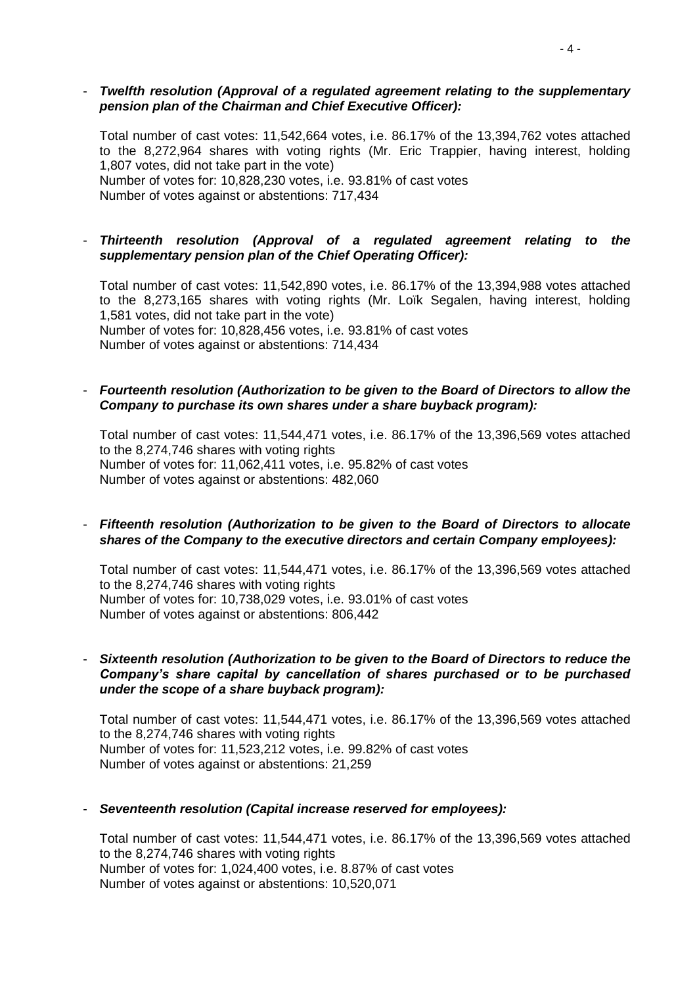#### - *Twelfth resolution (Approval of a regulated agreement relating to the supplementary pension plan of the Chairman and Chief Executive Officer):*

Total number of cast votes: 11,542,664 votes, i.e. 86.17% of the 13,394,762 votes attached to the 8,272,964 shares with voting rights (Mr. Eric Trappier, having interest, holding 1,807 votes, did not take part in the vote) Number of votes for: 10,828,230 votes, i.e. 93.81% of cast votes Number of votes against or abstentions: 717,434

#### - *Thirteenth resolution (Approval of a regulated agreement relating to the supplementary pension plan of the Chief Operating Officer):*

Total number of cast votes: 11,542,890 votes, i.e. 86.17% of the 13,394,988 votes attached to the 8,273,165 shares with voting rights (Mr. Loïk Segalen, having interest, holding 1,581 votes, did not take part in the vote) Number of votes for: 10,828,456 votes, i.e. 93.81% of cast votes Number of votes against or abstentions: 714,434

#### - *Fourteenth resolution (Authorization to be given to the Board of Directors to allow the Company to purchase its own shares under a share buyback program):*

Total number of cast votes: 11,544,471 votes, i.e. 86.17% of the 13,396,569 votes attached to the 8,274,746 shares with voting rights Number of votes for: 11,062,411 votes, i.e. 95.82% of cast votes Number of votes against or abstentions: 482,060

#### - *Fifteenth resolution (Authorization to be given to the Board of Directors to allocate shares of the Company to the executive directors and certain Company employees):*

Total number of cast votes: 11,544,471 votes, i.e. 86.17% of the 13,396,569 votes attached to the 8,274,746 shares with voting rights Number of votes for: 10,738,029 votes, i.e. 93.01% of cast votes Number of votes against or abstentions: 806,442

#### - *Sixteenth resolution (Authorization to be given to the Board of Directors to reduce the Company's share capital by cancellation of shares purchased or to be purchased under the scope of a share buyback program):*

Total number of cast votes: 11,544,471 votes, i.e. 86.17% of the 13,396,569 votes attached to the 8,274,746 shares with voting rights Number of votes for: 11,523,212 votes, i.e. 99.82% of cast votes Number of votes against or abstentions: 21,259

#### - *Seventeenth resolution (Capital increase reserved for employees):*

Total number of cast votes: 11,544,471 votes, i.e. 86.17% of the 13,396,569 votes attached to the 8,274,746 shares with voting rights Number of votes for: 1,024,400 votes, i.e. 8.87% of cast votes Number of votes against or abstentions: 10,520,071